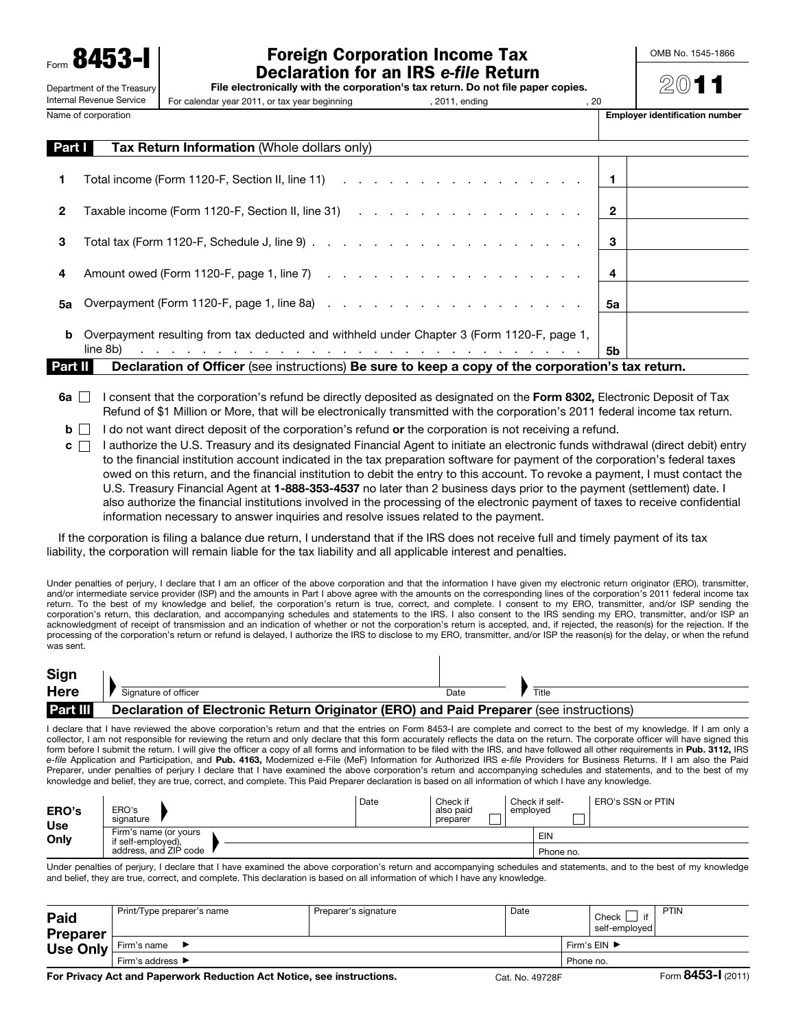Form 8453-I Department of the Treasury

Internal Revenue Service

## Foreign Corporation Income Tax Declaration for an IRS *e-file* Return

OMB No. 1545-1866

| File electronically with the corporation's tax return. Do not file paper copies. |  |
|----------------------------------------------------------------------------------|--|
|----------------------------------------------------------------------------------|--|

For calendar year 2011, or tax year beginning , 2011, ending , 2011, ending , 20

Name of corporation extensive to the corporation of the corporation of the corporation number is extended as  $\blacksquare$ 

 $\mathcal{D}(0)$  1

| Part I  | <b>Tax Return Information (Whole dollars only)</b>                                                                                                                                                                             |                |  |
|---------|--------------------------------------------------------------------------------------------------------------------------------------------------------------------------------------------------------------------------------|----------------|--|
|         | Total income (Form 1120-F, Section II, line 11) (and a section of the contract of the contract of the contract of the contract of the contract of the contract of the contract of the contract of the contract of the contract | l 1            |  |
| 2       |                                                                                                                                                                                                                                | $\mathbf{2}$   |  |
| 3       |                                                                                                                                                                                                                                | 3              |  |
| 4       |                                                                                                                                                                                                                                | $\overline{4}$ |  |
| 5а      |                                                                                                                                                                                                                                | 5a             |  |
| b       | Overpayment resulting from tax deducted and withheld under Chapter 3 (Form 1120-F, page 1,                                                                                                                                     |                |  |
|         | المتعاون والمتعاون والمتعاون والمتعاون والمتعاون والمتعاون والمتعاون والمتعاون والمتعاون والمتعاونة والمتعاون<br>line 8b)                                                                                                      | 5b             |  |
| Part II | Declaration of Officer (see instructions) Be sure to keep a copy of the corporation's tax return.                                                                                                                              |                |  |

- 6a  $\Box$  I consent that the corporation's refund be directly deposited as designated on the Form 8302, Electronic Deposit of Tax Refund of \$1 Million or More, that will be electronically transmitted with the corporation's 2011 federal income tax return.
- $\mathbf{b}$  I do not want direct deposit of the corporation's refund or the corporation is not receiving a refund.
- $c \cap$  I authorize the U.S. Treasury and its designated Financial Agent to initiate an electronic funds withdrawal (direct debit) entry to the financial institution account indicated in the tax preparation software for payment of the corporation's federal taxes owed on this return, and the financial institution to debit the entry to this account. To revoke a payment, I must contact the U.S. Treasury Financial Agent at 1-888-353-4537 no later than 2 business days prior to the payment (settlement) date. I also authorize the financial institutions involved in the processing of the electronic payment of taxes to receive confidential information necessary to answer inquiries and resolve issues related to the payment.

If the corporation is filing a balance due return, I understand that if the IRS does not receive full and timely payment of its tax liability, the corporation will remain liable for the tax liability and all applicable interest and penalties.

Under penalties of perjury, I declare that I am an officer of the above corporation and that the information I have given my electronic return originator (ERO), transmitter, and/or intermediate service provider (ISP) and the amounts in Part I above agree with the amounts on the corresponding lines of the corporation's 2011 federal income tax return. To the best of my knowledge and belief, the corporation's return is true, correct, and complete. I consent to my ERO, transmitter, and/or ISP sending the corporation's return, this declaration, and accompanying schedules and statements to the IRS. I also consent to the IRS sending my ERO, transmitter, and/or ISP an acknowledgment of receipt of transmission and an indication of whether or not the corporation's return is accepted, and, if rejected, the reason(s) for the rejection. If the processing of the corporation's return or refund is delayed, I authorize the IRS to disclose to my ERO, transmitter, and/or ISP the reason(s) for the delay, or when the refund was sent.

 $\overline{\phantom{a}}$ 

| Sign            |                                                                                        |      |       |
|-----------------|----------------------------------------------------------------------------------------|------|-------|
| <b>Here</b>     | Signature of officer                                                                   | Date | Title |
| <b>Part III</b> | Declaration of Electronic Return Originator (ERO) and Paid Preparer (see instructions) |      |       |

I declare that I have reviewed the above corporation's return and that the entries on Form 8453-I are complete and correct to the best of my knowledge. If I am only a collector, I am not responsible for reviewing the return and only declare that this form accurately reflects the data on the return. The corporate officer will have signed this form before I submit the return. I will give the officer a copy of all forms and information to be filed with the IRS, and have followed all other requirements in Pub. 3112, IRS *e-file* Application and Participation, and Pub. 4163, Modernized e-File (MeF) Information for Authorized IRS *e-file* Providers for Business Returns. If I am also the Paid Preparer, under penalties of perjury I declare that I have examined the above corporation's return and accompanying schedules and statements, and to the best of my knowledge and belief, they are true, correct, and complete. This Paid Preparer declaration is based on all information of which I have any knowledge.

| <b>ERO's</b><br><b>Use</b> | ERO's<br>signature                          | Date | Check if<br>also paid<br>preparer | Check if self-<br>employed | ERO's SSN or PTIN |
|----------------------------|---------------------------------------------|------|-----------------------------------|----------------------------|-------------------|
| Only                       | Firm's name (or yours<br>if self-emploved). |      |                                   | EIN                        |                   |
|                            | address, and ZIP code                       |      |                                   | Phone no.                  |                   |

Under penalties of perjury, I declare that I have examined the above corporation's return and accompanying schedules and statements, and to the best of my knowledge and belief, they are true, correct, and complete. This declaration is based on all information of which I have any knowledge.

| Paid<br><b>Preparer</b> | Print/Type preparer's name | Preparer's signature               | Date |  | if<br>Check<br>self-emploved l | PTIN |                    |
|-------------------------|----------------------------|------------------------------------|------|--|--------------------------------|------|--------------------|
| <b>Use Only</b>         | Firm's name                | Firm's $EIN$ $\blacktriangleright$ |      |  |                                |      |                    |
|                         | Firm's address ▶           | Phone no.                          |      |  |                                |      |                    |
|                         | .                          |                                    |      |  |                                |      | $\sim$ 0.450 $\mu$ |

For Privacy Act and Paperwork Reduction Act Notice, see instructions. Cat. No. 49728F Form 8453-I (2011)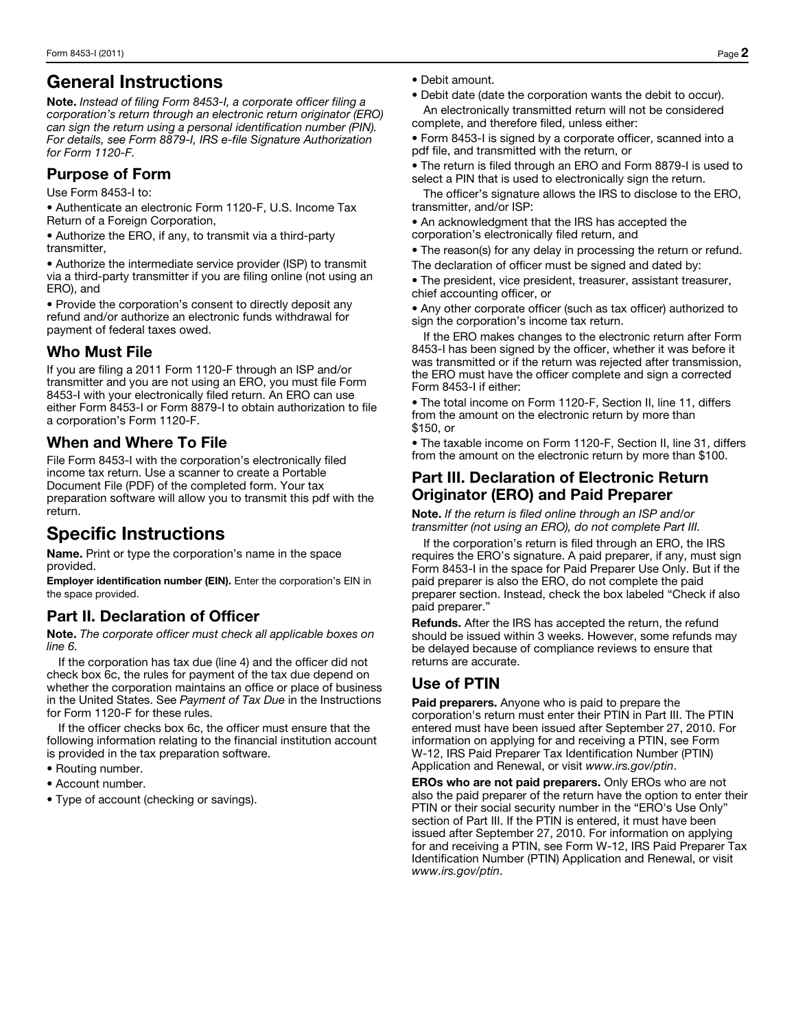## General Instructions

Note. *Instead of filing Form 8453-I, a corporate officer filing a corporation's return through an electronic return originator (ERO) can sign the return using a personal identification number (PIN). For details, see Form 8879-I, IRS e-file Signature Authorization for Form 1120-F.*

#### Purpose of Form

Use Form 8453-I to:

• Authenticate an electronic Form 1120-F, U.S. Income Tax Return of a Foreign Corporation,

• Authorize the ERO, if any, to transmit via a third-party transmitter,

• Authorize the intermediate service provider (ISP) to transmit via a third-party transmitter if you are filing online (not using an ERO), and

• Provide the corporation's consent to directly deposit any refund and/or authorize an electronic funds withdrawal for payment of federal taxes owed.

#### Who Must File

If you are filing a 2011 Form 1120-F through an ISP and/or transmitter and you are not using an ERO, you must file Form 8453-I with your electronically filed return. An ERO can use either Form 8453-I or Form 8879-I to obtain authorization to file a corporation's Form 1120-F.

### When and Where To File

File Form 8453-I with the corporation's electronically filed income tax return. Use a scanner to create a Portable Document File (PDF) of the completed form. Your tax preparation software will allow you to transmit this pdf with the return.

# Specific Instructions

Name. Print or type the corporation's name in the space provided.

Employer identification number (EIN). Enter the corporation's EIN in the space provided.

## Part II. Declaration of Officer

Note. *The corporate officer must check all applicable boxes on line 6.* 

If the corporation has tax due (line 4) and the officer did not check box 6c, the rules for payment of the tax due depend on whether the corporation maintains an office or place of business in the United States. See *Payment of Tax Due* in the Instructions for Form 1120-F for these rules.

If the officer checks box 6c, the officer must ensure that the following information relating to the financial institution account is provided in the tax preparation software.

- Routing number.
- Account number.
- Type of account (checking or savings).
- Debit amount.
- Debit date (date the corporation wants the debit to occur). An electronically transmitted return will not be considered complete, and therefore filed, unless either:
- Form 8453-I is signed by a corporate officer, scanned into a pdf file, and transmitted with the return, or

• The return is filed through an ERO and Form 8879-I is used to select a PIN that is used to electronically sign the return.

The officer's signature allows the IRS to disclose to the ERO, transmitter, and/or ISP:

• An acknowledgment that the IRS has accepted the corporation's electronically filed return, and

• The reason(s) for any delay in processing the return or refund. The declaration of officer must be signed and dated by:

• The president, vice president, treasurer, assistant treasurer, chief accounting officer, or

• Any other corporate officer (such as tax officer) authorized to sign the corporation's income tax return.

If the ERO makes changes to the electronic return after Form 8453-I has been signed by the officer, whether it was before it was transmitted or if the return was rejected after transmission, the ERO must have the officer complete and sign a corrected Form 8453-I if either:

• The total income on Form 1120-F, Section II, line 11, differs from the amount on the electronic return by more than \$150, or

• The taxable income on Form 1120-F, Section II, line 31, differs from the amount on the electronic return by more than \$100.

#### Part III. Declaration of Electronic Return Originator (ERO) and Paid Preparer

Note. *If the return is filed online through an ISP and/or transmitter (not using an ERO), do not complete Part III.*

If the corporation's return is filed through an ERO, the IRS requires the ERO's signature. A paid preparer, if any, must sign Form 8453-I in the space for Paid Preparer Use Only. But if the paid preparer is also the ERO, do not complete the paid preparer section. Instead, check the box labeled "Check if also paid preparer."

Refunds. After the IRS has accepted the return, the refund should be issued within 3 weeks. However, some refunds may be delayed because of compliance reviews to ensure that returns are accurate.

### Use of PTIN

**Paid preparers.** Anyone who is paid to prepare the corporation's return must enter their PTIN in Part III. The PTIN entered must have been issued after September 27, 2010. For information on applying for and receiving a PTIN, see Form W-12, IRS Paid Preparer Tax Identification Number (PTIN) Application and Renewal, or visit *www.irs.gov/ptin*.

EROs who are not paid preparers. Only EROs who are not also the paid preparer of the return have the option to enter their PTIN or their social security number in the "ERO's Use Only" section of Part III. If the PTIN is entered, it must have been issued after September 27, 2010. For information on applying for and receiving a PTIN, see Form W-12, IRS Paid Preparer Tax Identification Number (PTIN) Application and Renewal, or visit *www.irs.gov/ptin*.